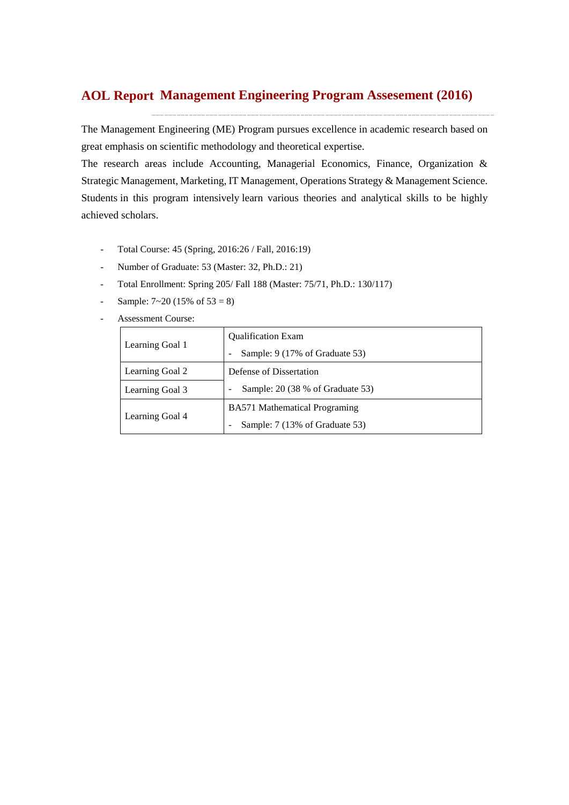## **Management Engineering Program Assesement (2016) AOL Report**

The Management Engineering (ME) Program pursues excellence in academic research based on great emphasis on scientific methodology and theoretical expertise.

The research areas include Accounting, Managerial Economics, Finance, Organization & Strategic Management, Marketing, IT Management, Operations Strategy & Management Science. Students in this program intensively learn various theories and analytical skills to be highly achieved scholars.

- Total Course: 45 (Spring, 2016:26 / Fall, 2016:19)
- Number of Graduate: 53 (Master: 32, Ph.D.: 21)
- Total Enrollment: Spring 205/ Fall 188 (Master: 75/71, Ph.D.: 130/117)
- Sample:  $7 \times 20$  (15% of  $53 = 8$ )
- Assessment Course:

|                 | <b>Qualification Exam</b>            |  |  |  |  |  |
|-----------------|--------------------------------------|--|--|--|--|--|
| Learning Goal 1 | Sample: 9 (17% of Graduate 53)       |  |  |  |  |  |
| Learning Goal 2 | Defense of Dissertation              |  |  |  |  |  |
| Learning Goal 3 | Sample: 20 (38 % of Graduate 53)     |  |  |  |  |  |
|                 | <b>BA571</b> Mathematical Programing |  |  |  |  |  |
| Learning Goal 4 | Sample: 7 (13% of Graduate 53)       |  |  |  |  |  |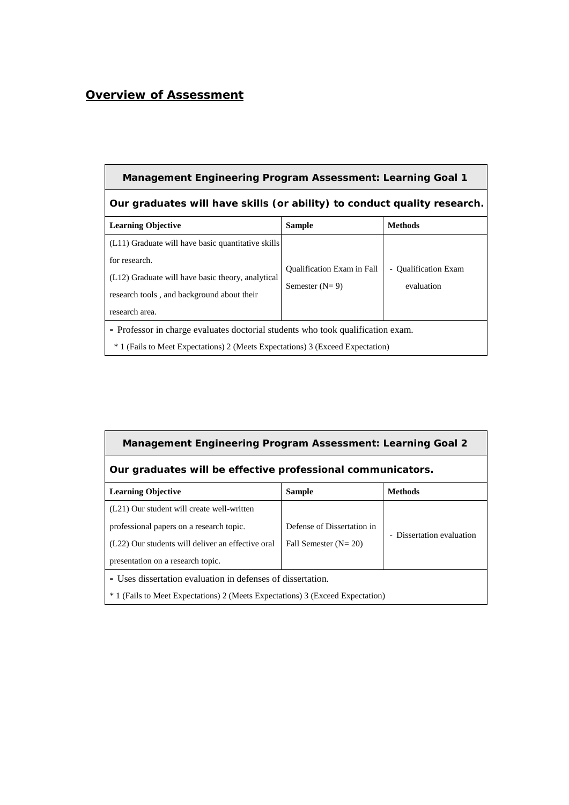# *Overview of Assessment*

| <b>Management Engineering Program Assessment: Learning Goal 1</b>                                                                                                                        |                                                       |                                    |  |  |  |  |  |  |
|------------------------------------------------------------------------------------------------------------------------------------------------------------------------------------------|-------------------------------------------------------|------------------------------------|--|--|--|--|--|--|
| Our graduates will have skills (or ability) to conduct quality research.                                                                                                                 |                                                       |                                    |  |  |  |  |  |  |
| <b>Sample</b><br><b>Methods</b><br><b>Learning Objective</b>                                                                                                                             |                                                       |                                    |  |  |  |  |  |  |
| (L11) Graduate will have basic quantitative skills<br>for research.<br>(L12) Graduate will have basic theory, analytical<br>research tools, and background about their<br>research area. | <b>Qualification Exam in Fall</b><br>Semester $(N=9)$ | - Qualification Exam<br>evaluation |  |  |  |  |  |  |
| - Professor in charge evaluates doctorial students who took qualification exam.<br><sup>*</sup> 1 (Fails to Meet Expectations) 2 (Meets Expectations) 3 (Exceed Expectation)             |                                                       |                                    |  |  |  |  |  |  |

| <b>Management Engineering Program Assessment: Learning Goal 2</b>                                                                                                                                                                                                     |  |  |  |  |  |  |  |  |
|-----------------------------------------------------------------------------------------------------------------------------------------------------------------------------------------------------------------------------------------------------------------------|--|--|--|--|--|--|--|--|
| Our graduates will be effective professional communicators.                                                                                                                                                                                                           |  |  |  |  |  |  |  |  |
| <b>Methods</b><br><b>Learning Objective</b><br><b>Sample</b>                                                                                                                                                                                                          |  |  |  |  |  |  |  |  |
| (L21) Our student will create well-written<br>Defense of Dissertation in<br>professional papers on a research topic.<br>- Dissertation evaluation<br>(L22) Our students will deliver an effective oral<br>Fall Semester $(N=20)$<br>presentation on a research topic. |  |  |  |  |  |  |  |  |
| - Uses dissertation evaluation in defenses of dissertation.<br><sup>*</sup> 1 (Fails to Meet Expectations) 2 (Meets Expectations) 3 (Exceed Expectation)                                                                                                              |  |  |  |  |  |  |  |  |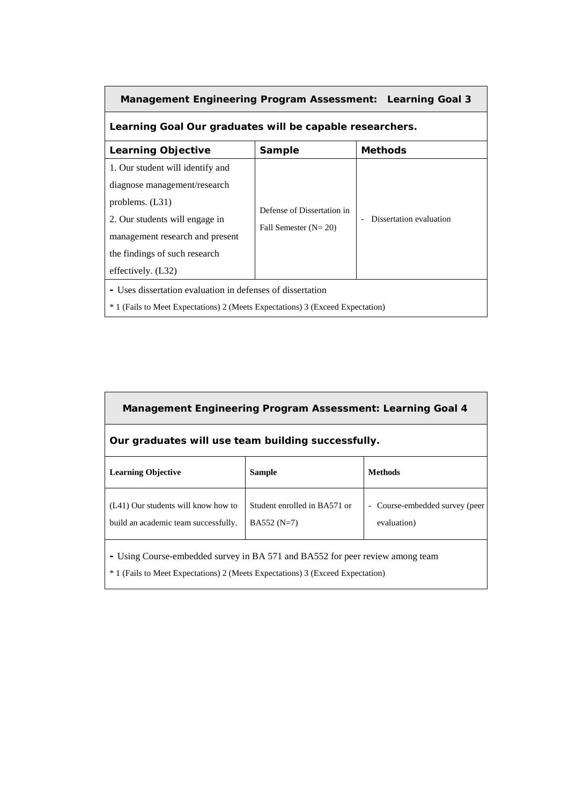| <b>Management Engineering Program Assessment: Learning Goal 3</b>                                                                                                                                                                                                                                  |  |  |  |  |  |  |  |  |
|----------------------------------------------------------------------------------------------------------------------------------------------------------------------------------------------------------------------------------------------------------------------------------------------------|--|--|--|--|--|--|--|--|
| Learning Goal Our graduates will be capable researchers.                                                                                                                                                                                                                                           |  |  |  |  |  |  |  |  |
| <b>Learning Objective</b><br><b>Sample</b><br><b>Methods</b>                                                                                                                                                                                                                                       |  |  |  |  |  |  |  |  |
| 1. Our student will identify and<br>diagnose management/research<br>problems. (L31)<br>Defense of Dissertation in<br>Dissertation evaluation<br>2. Our students will engage in<br>Fall Semester $(N=20)$<br>management research and present<br>the findings of such research<br>effectively. (L32) |  |  |  |  |  |  |  |  |
| - Uses dissertation evaluation in defenses of dissertation<br><sup>*</sup> 1 (Fails to Meet Expectations) 2 (Meets Expectations) 3 (Exceed Expectation)                                                                                                                                            |  |  |  |  |  |  |  |  |

| <b>Management Engineering Program Assessment: Learning Goal 4</b>                                                                                                          |                                              |                                             |  |  |  |  |  |  |
|----------------------------------------------------------------------------------------------------------------------------------------------------------------------------|----------------------------------------------|---------------------------------------------|--|--|--|--|--|--|
| Our graduates will use team building successfully.                                                                                                                         |                                              |                                             |  |  |  |  |  |  |
| <b>Learning Objective</b>                                                                                                                                                  | <b>Sample</b>                                | <b>Methods</b>                              |  |  |  |  |  |  |
| (L41) Our students will know how to<br>build an academic team successfully.                                                                                                | Student enrolled in BA571 or<br>$BA552(N=7)$ | Course-embedded survey (peer<br>evaluation) |  |  |  |  |  |  |
| - Using Course-embedded survey in BA 571 and BA552 for peer review among team<br><sup>*</sup> 1 (Fails to Meet Expectations) 2 (Meets Expectations) 3 (Exceed Expectation) |                                              |                                             |  |  |  |  |  |  |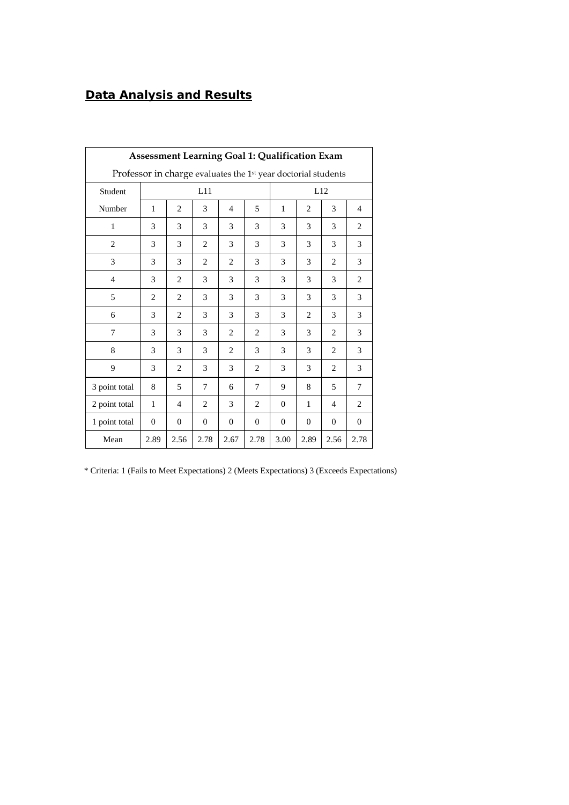## *Data Analysis and Results*

| <b>Assessment Learning Goal 1: Qualification Exam</b>                     |                |                |                |                |                |              |                |                |                |
|---------------------------------------------------------------------------|----------------|----------------|----------------|----------------|----------------|--------------|----------------|----------------|----------------|
| Professor in charge evaluates the 1 <sup>st</sup> year doctorial students |                |                |                |                |                |              |                |                |                |
| Student                                                                   |                |                | L11            |                |                |              |                | L12            |                |
| Number                                                                    | 1              | $\overline{2}$ | 3              | 4              | 5              | $\mathbf{1}$ | $\overline{2}$ | 3              | $\overline{4}$ |
| $\mathbf{1}$                                                              | 3              | 3              | 3              | 3              | 3              | 3            | 3              | 3              | $\overline{2}$ |
| $\overline{c}$                                                            | 3              | 3              | $\overline{c}$ | 3              | 3              | 3            | 3              | 3              | 3              |
| 3                                                                         | 3              | 3              | $\overline{c}$ | 2              | 3              | 3            | 3              | $\overline{c}$ | 3              |
| $\overline{4}$                                                            | 3              | $\overline{c}$ | 3              | 3              | $\mathcal{E}$  | 3            | 3              | $\mathcal{E}$  | $\overline{c}$ |
| 5                                                                         | $\overline{2}$ | $\overline{2}$ | 3              | 3              | 3              | 3            | 3              | 3              | 3              |
| 6                                                                         | 3              | $\overline{2}$ | 3              | 3              | 3              | 3            | 2              | 3              | 3              |
| $\overline{7}$                                                            | 3              | 3              | 3              | 2              | $\overline{c}$ | 3            | 3              | $\overline{c}$ | 3              |
| 8                                                                         | 3              | 3              | 3              | 2              | 3              | 3            | 3              | $\overline{c}$ | 3              |
| 9                                                                         | 3              | $\overline{2}$ | 3              | 3              | $\overline{2}$ | 3            | 3              | $\overline{c}$ | 3              |
| 3 point total                                                             | 8              | 5              | 7              | 6              | 7              | 9            | 8              | 5              | 7              |
| 2 point total                                                             | 1              | $\overline{4}$ | $\overline{2}$ | 3              | $\overline{2}$ | $\mathbf{0}$ | 1              | $\overline{4}$ | $\overline{2}$ |
| 1 point total                                                             | $\overline{0}$ | $\Omega$       | $\Omega$       | $\overline{0}$ | $\Omega$       | $\Omega$     | $\theta$       | $\Omega$       | $\Omega$       |
| Mean                                                                      | 2.89           | 2.56           | 2.78           | 2.67           | 2.78           | 3.00         | 2.89           | 2.56           | 2.78           |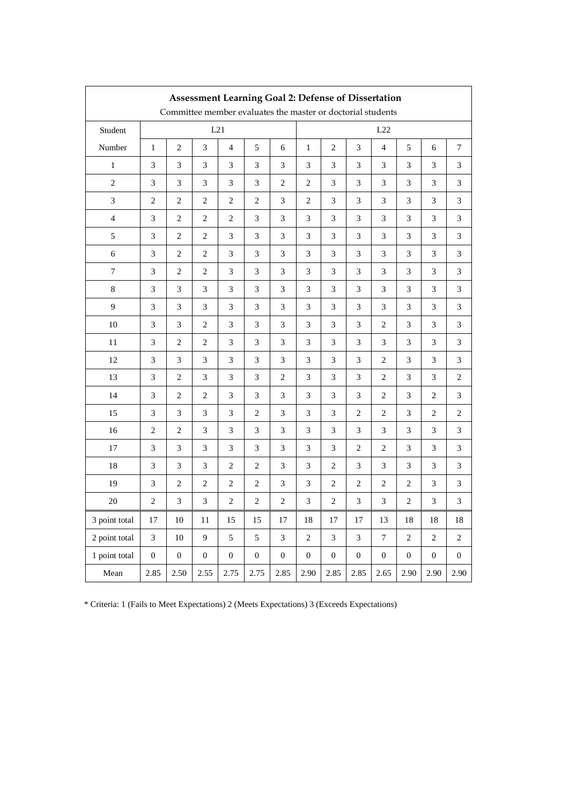| <b>Assessment Learning Goal 2: Defense of Dissertation</b><br>Committee member evaluates the master or doctorial students |                  |                             |                  |                             |                  |                             |                  |                             |                |                         |              |                  |                  |
|---------------------------------------------------------------------------------------------------------------------------|------------------|-----------------------------|------------------|-----------------------------|------------------|-----------------------------|------------------|-----------------------------|----------------|-------------------------|--------------|------------------|------------------|
| Student                                                                                                                   | L21              |                             |                  |                             |                  |                             |                  |                             |                | L22                     |              |                  |                  |
| Number                                                                                                                    | $\mathbf{1}$     | $\overline{c}$              | 3                | $\overline{4}$              | 5                | 6                           | $\mathbf{1}$     | $\overline{c}$              | 3              | $\overline{\mathbf{4}}$ | 5            | 6                | $\tau$           |
| $\mathbf{1}$                                                                                                              | 3                | 3                           | 3                | 3                           | 3                | 3                           | 3                | 3                           | 3              | 3                       | 3            | 3                | 3                |
| $\overline{c}$                                                                                                            | 3                | $\ensuremath{\mathfrak{Z}}$ | 3                | $\ensuremath{\mathfrak{Z}}$ | 3                | $\sqrt{2}$                  | $\overline{c}$   | 3                           | 3              | $\mathfrak{Z}$          | 3            | 3                | 3                |
| 3                                                                                                                         | $\overline{c}$   | $\sqrt{2}$                  | $\mathfrak{2}$   | $\sqrt{2}$                  | $\overline{c}$   | $\mathfrak{Z}$              | $\mathfrak{2}$   | $\mathfrak{Z}$              | 3              | 3                       | 3            | 3                | 3                |
| 4                                                                                                                         | 3                | 2                           | $\overline{2}$   | $\overline{c}$              | 3                | 3                           | 3                | 3                           | 3              | 3                       | 3            | 3                | 3                |
| 5                                                                                                                         | 3                | $\sqrt{2}$                  | $\sqrt{2}$       | 3                           | $\mathfrak{Z}$   | 3                           | $\mathfrak{Z}$   | 3                           | $\mathfrak{Z}$ | 3                       | 3            | 3                | 3                |
| 6                                                                                                                         | 3                | $\overline{2}$              | $\overline{2}$   | $\overline{3}$              | 3                | 3                           | 3                | 3                           | 3              | 3                       | 3            | 3                | 3                |
| 7                                                                                                                         | 3                | $\overline{c}$              | $\mathfrak{2}$   | 3                           | 3                | 3                           | 3                | 3                           | 3              | 3                       | 3            | 3                | 3                |
| $\,8\,$                                                                                                                   | 3                | 3                           | 3                | $\ensuremath{\mathfrak{Z}}$ | 3                | 3                           | 3                | 3                           | 3              | 3                       | 3            | 3                | 3                |
| 9                                                                                                                         | 3                | $\mathfrak{Z}$              | 3                | $\mathfrak{Z}$              | 3                | $\mathfrak{Z}$              | 3                | $\ensuremath{\mathfrak{Z}}$ | 3              | $\mathfrak{Z}$          | 3            | 3                | 3                |
| 10                                                                                                                        | 3                | $\mathfrak{Z}$              | $\overline{2}$   | $\mathfrak{Z}$              | 3                | $\mathfrak{Z}$              | 3                | 3                           | 3              | 2                       | 3            | 3                | 3                |
| 11                                                                                                                        | 3                | 2                           | $\mathfrak{2}$   | 3                           | 3                | 3                           | 3                | 3                           | 3              | 3                       | 3            | 3                | 3                |
| 12                                                                                                                        | 3                | $\sqrt{3}$                  | 3                | $\ensuremath{\mathfrak{Z}}$ | $\mathfrak{Z}$   | $\ensuremath{\mathfrak{Z}}$ | 3                | 3                           | 3              | 2                       | 3            | 3                | 3                |
| 13                                                                                                                        | 3                | $\overline{c}$              | 3                | $\mathfrak{Z}$              | 3                | $\mathbf{2}$                | 3                | 3                           | 3              | $\mathbf{2}$            | 3            | 3                | $\mathbf{2}$     |
| 14                                                                                                                        | 3                | 2                           | $\overline{c}$   | 3                           | 3                | 3                           | 3                | 3                           | 3              | 2                       | 3            | $\overline{2}$   | 3                |
| 15                                                                                                                        | 3                | $\mathfrak{Z}$              | 3                | $\mathfrak{Z}$              | $\overline{c}$   | $\mathfrak{Z}$              | 3                | $\mathfrak{Z}$              | $\overline{c}$ | $\sqrt{2}$              | 3            | $\,2$            | 2                |
| 16                                                                                                                        | $\mathbf{2}$     | $\sqrt{2}$                  | 3                | $\mathfrak{Z}$              | 3                | 3                           | 3                | $\mathfrak{Z}$              | 3              | $\mathfrak{Z}$          | 3            | 3                | 3                |
| 17                                                                                                                        | 3                | $\mathfrak{Z}$              | 3                | $\mathfrak{Z}$              | 3                | $\mathfrak{Z}$              | 3                | 3                           | 2              | $\overline{2}$          | 3            | 3                | 3                |
| 18                                                                                                                        | 3                | 3                           | 3                | $\sqrt{2}$                  | $\sqrt{2}$       | $\mathfrak{Z}$              | 3                | $\overline{c}$              | 3              | 3                       | 3            | 3                | 3                |
| 19                                                                                                                        | 3                | 2                           | $\overline{2}$   | $\overline{c}$              | $\overline{c}$   | 3                           | 3                | 2                           | $\overline{2}$ | $\overline{c}$          | 2            | 3                | 3                |
| 20                                                                                                                        | $\mathbf{2}$     | $\mathfrak{Z}$              | $\mathfrak{Z}$   | $\sqrt{2}$                  | $\overline{c}$   | $\sqrt{2}$                  | 3                | $\sqrt{2}$                  | 3              | $\mathfrak{Z}$          | $\mathbf{2}$ | 3                | 3                |
| 3 point total                                                                                                             | 17               | 10                          | 11               | 15                          | 15               | 17                          | 18               | 17                          | 17             | 13                      | 18           | 18               | 18               |
| 2 point total                                                                                                             | 3                | 10                          | 9                | 5                           | 5                | 3                           | $\overline{c}$   | 3                           | 3              | 7                       | 2            | $\overline{2}$   | $\overline{c}$   |
| 1 point total                                                                                                             | $\boldsymbol{0}$ | $\boldsymbol{0}$            | $\boldsymbol{0}$ | $\boldsymbol{0}$            | $\boldsymbol{0}$ | $\boldsymbol{0}$            | $\boldsymbol{0}$ | $\boldsymbol{0}$            | $\mathbf{0}$   | $\boldsymbol{0}$        | $\mathbf{0}$ | $\boldsymbol{0}$ | $\boldsymbol{0}$ |
| Mean                                                                                                                      | 2.85             | 2.50                        | 2.55             | 2.75                        | 2.75             | 2.85                        | 2.90             | 2.85                        | 2.85           | 2.65                    | 2.90         | 2.90             | 2.90             |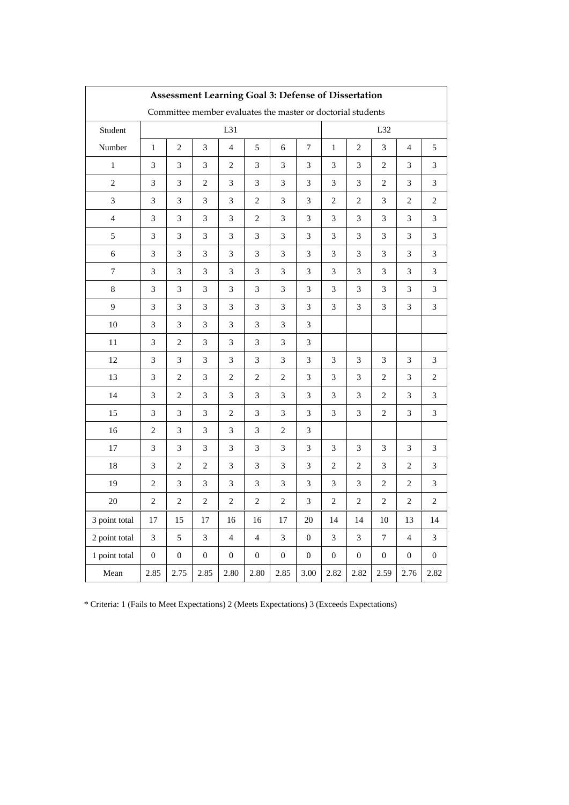| Assessment Learning Goal 3: Defense of Dissertation         |                             |                  |                  |                             |                  |                  |                             |                  |                  |                  |                          |                  |
|-------------------------------------------------------------|-----------------------------|------------------|------------------|-----------------------------|------------------|------------------|-----------------------------|------------------|------------------|------------------|--------------------------|------------------|
| Committee member evaluates the master or doctorial students |                             |                  |                  |                             |                  |                  |                             |                  |                  |                  |                          |                  |
| Student                                                     | L31                         |                  |                  |                             |                  |                  |                             |                  |                  | L32              |                          |                  |
| Number                                                      | $\mathbf{1}$                | $\mathfrak{2}$   | 3                | $\overline{\mathcal{L}}$    | 5                | 6                | 7                           | $\,1$            | $\mathbf{2}$     | $\mathfrak{Z}$   | $\overline{\mathcal{L}}$ | $\sqrt{5}$       |
| $\mathbf{1}$                                                | 3                           | 3                | 3                | $\overline{c}$              | 3                | 3                | $\mathfrak{Z}$              | 3                | 3                | 2                | 3                        | 3                |
| $\overline{2}$                                              | 3                           | $\mathfrak{Z}$   | $\overline{c}$   | 3                           | 3                | $\mathfrak{Z}$   | 3                           | 3                | 3                | $\overline{2}$   | $\mathfrak{Z}$           | 3                |
| $\mathfrak{Z}$                                              | $\ensuremath{\mathfrak{Z}}$ | 3                | 3                | $\ensuremath{\mathfrak{Z}}$ | $\sqrt{2}$       | 3                | $\ensuremath{\mathfrak{Z}}$ | 2                | $\overline{c}$   | 3                | $\overline{c}$           | $\overline{c}$   |
| $\overline{\mathcal{L}}$                                    | 3                           | 3                | 3                | $\mathfrak{Z}$              | $\overline{c}$   | 3                | $\mathfrak{Z}$              | 3                | 3                | 3                | 3                        | $\mathfrak 3$    |
| 5                                                           | 3                           | $\mathfrak{Z}$   | $\mathfrak{Z}$   | 3                           | $\mathfrak{Z}$   | 3                | 3                           | 3                | $\mathfrak{Z}$   | 3                | $\mathfrak{Z}$           | 3                |
| $\sqrt{6}$                                                  | 3                           | 3                | 3                | $\mathfrak{Z}$              | 3                | 3                | 3                           | 3                | 3                | $\mathfrak{Z}$   | 3                        | 3                |
| 7                                                           | $\mathfrak{Z}$              | 3                | $\mathfrak{Z}$   | $\mathfrak{Z}$              | 3                | 3                | $\mathfrak{Z}$              | 3                | 3                | $\mathfrak{Z}$   | 3                        | 3                |
| $\,8\,$                                                     | 3                           | 3                | 3                | 3                           | 3                | 3                | 3                           | 3                | 3                | 3                | 3                        | 3                |
| 9                                                           | 3                           | $\mathfrak{Z}$   | 3                | $\mathfrak{Z}$              | 3                | 3                | 3                           | 3                | 3                | $\mathfrak{Z}$   | 3                        | 3                |
| 10                                                          | 3                           | $\mathfrak{Z}$   | $\mathfrak{Z}$   | 3                           | $\mathfrak{Z}$   | 3                | 3                           |                  |                  |                  |                          |                  |
| 11                                                          | 3                           | $\overline{2}$   | 3                | $\mathfrak{Z}$              | 3                | 3                | $\mathfrak{Z}$              |                  |                  |                  |                          |                  |
| 12                                                          | 3                           | $\mathfrak{Z}$   | 3                | $\mathfrak{Z}$              | 3                | $\mathfrak{Z}$   | $\mathfrak{Z}$              | 3                | 3                | 3                | $\mathfrak{Z}$           | 3                |
| 13                                                          | 3                           | $\overline{c}$   | 3                | $\overline{c}$              | $\overline{c}$   | $\overline{c}$   | 3                           | 3                | 3                | 2                | 3                        | 2                |
| 14                                                          | $\mathfrak{Z}$              | $\sqrt{2}$       | 3                | $\mathfrak{Z}$              | 3                | 3                | $\mathfrak{Z}$              | $\mathfrak{Z}$   | $\mathfrak{Z}$   | $\overline{c}$   | 3                        | 3                |
| 15                                                          | 3                           | 3                | 3                | $\sqrt{2}$                  | 3                | 3                | $\ensuremath{\mathfrak{Z}}$ | 3                | 3                | $\overline{c}$   | 3                        | 3                |
| 16                                                          | $\sqrt{2}$                  | 3                | 3                | $\mathfrak{Z}$              | 3                | $\overline{c}$   | $\mathfrak{Z}$              |                  |                  |                  |                          |                  |
| $17\,$                                                      | 3                           | $\mathfrak{Z}$   | $\mathfrak{Z}$   | $\mathfrak{Z}$              | $\mathfrak{Z}$   | $\mathfrak{Z}$   | 3                           | $\mathfrak{Z}$   | $\mathfrak{Z}$   | 3                | $\mathfrak{Z}$           | 3                |
| 18                                                          | 3                           | $\overline{c}$   | $\overline{c}$   | $\mathfrak{Z}$              | 3                | 3                | $\mathfrak{Z}$              | 2                | 2                | 3                | $\overline{2}$           | 3                |
| 19                                                          | $\sqrt{2}$                  | $\mathfrak{Z}$   | $\mathfrak{Z}$   | $\mathfrak{Z}$              | 3                | 3                | 3                           | 3                | 3                | $\sqrt{2}$       | $\mathbf{2}$             | 3                |
| 20                                                          | $\sqrt{2}$                  | $\sqrt{2}$       | $\sqrt{2}$       | $\sqrt{2}$                  | $\sqrt{2}$       | $\sqrt{2}$       | $\mathfrak{Z}$              | $\sqrt{2}$       | $\sqrt{2}$       | $\sqrt{2}$       | $\sqrt{2}$               | $\overline{c}$   |
| 3 point total                                               | 17                          | 15               | 17               | 16                          | 16               | 17               | 20                          | 14               | 14               | 10               | 13                       | 14               |
| 2 point total                                               | 3                           | 5                | 3                | $\overline{4}$              | $\overline{4}$   | 3                | $\boldsymbol{0}$            | 3                | 3                | $\overline{7}$   | $\overline{4}$           | 3                |
| 1 point total                                               | $\boldsymbol{0}$            | $\boldsymbol{0}$ | $\boldsymbol{0}$ | $\boldsymbol{0}$            | $\boldsymbol{0}$ | $\boldsymbol{0}$ | $\boldsymbol{0}$            | $\boldsymbol{0}$ | $\boldsymbol{0}$ | $\boldsymbol{0}$ | $\boldsymbol{0}$         | $\boldsymbol{0}$ |
| Mean                                                        | 2.85                        | 2.75             | 2.85             | 2.80                        | 2.80             | 2.85             | 3.00                        | 2.82             | 2.82             | 2.59             | 2.76                     | 2.82             |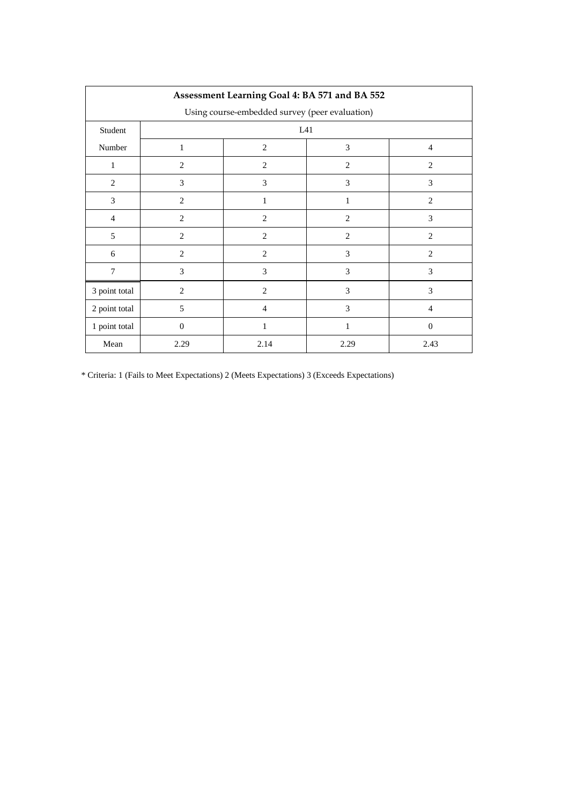| Assessment Learning Goal 4: BA 571 and BA 552  |                |                                       |                |                |  |  |  |  |  |  |
|------------------------------------------------|----------------|---------------------------------------|----------------|----------------|--|--|--|--|--|--|
| Using course-embedded survey (peer evaluation) |                |                                       |                |                |  |  |  |  |  |  |
| Student                                        |                | L41                                   |                |                |  |  |  |  |  |  |
| Number                                         | 1              | $\overline{2}$<br>3<br>$\overline{4}$ |                |                |  |  |  |  |  |  |
| 1                                              | $\overline{2}$ | 2                                     | $\overline{2}$ | $\overline{2}$ |  |  |  |  |  |  |
| $\overline{2}$                                 | 3              | 3                                     | 3              | 3              |  |  |  |  |  |  |
| 3                                              | $\overline{2}$ | 1                                     | 1              | $\overline{2}$ |  |  |  |  |  |  |
| $\overline{4}$                                 | $\overline{c}$ | $\overline{2}$                        | $\overline{2}$ | 3              |  |  |  |  |  |  |
| 5                                              | 2              | 2                                     | $\overline{2}$ | $\overline{2}$ |  |  |  |  |  |  |
| 6                                              | $\overline{2}$ | $\overline{2}$                        | 3              | $\overline{2}$ |  |  |  |  |  |  |
| 7                                              | 3              | 3                                     | 3              | 3              |  |  |  |  |  |  |
| 3 point total                                  | $\overline{2}$ | $\overline{2}$                        | 3              | 3              |  |  |  |  |  |  |
| 2 point total                                  | 5              | $\overline{4}$                        | 3              | $\overline{4}$ |  |  |  |  |  |  |
| 1 point total                                  | $\overline{0}$ | 1                                     | 1              | $\Omega$       |  |  |  |  |  |  |
| Mean                                           | 2.29           | 2.14                                  | 2.29           | 2.43           |  |  |  |  |  |  |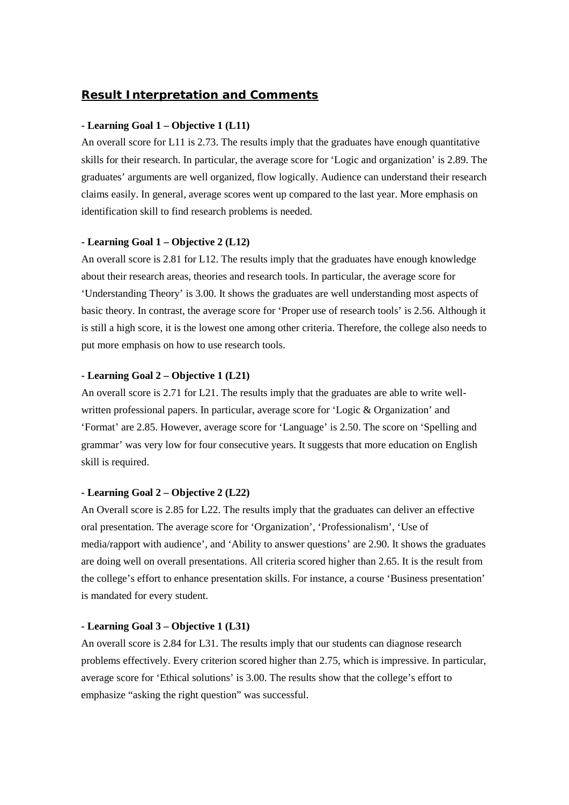### *Result Interpretation and Comments*

#### **- Learning Goal 1 – Objective 1 (L11)**

An overall score for L11 is 2.73. The results imply that the graduates have enough quantitative skills for their research. In particular, the average score for 'Logic and organization' is 2.89. The graduates' arguments are well organized, flow logically. Audience can understand their research claims easily. In general, average scores went up compared to the last year. More emphasis on identification skill to find research problems is needed.

#### **- Learning Goal 1 – Objective 2 (L12)**

An overall score is 2.81 for L12. The results imply that the graduates have enough knowledge about their research areas, theories and research tools. In particular, the average score for 'Understanding Theory' is 3.00. It shows the graduates are well understanding most aspects of basic theory. In contrast, the average score for 'Proper use of research tools' is 2.56. Although it is still a high score, it is the lowest one among other criteria. Therefore, the college also needs to put more emphasis on how to use research tools.

#### **- Learning Goal 2 – Objective 1 (L21)**

An overall score is 2.71 for L21. The results imply that the graduates are able to write wellwritten professional papers. In particular, average score for 'Logic & Organization' and 'Format' are 2.85. However, average score for 'Language' is 2.50. The score on 'Spelling and grammar' was very low for four consecutive years. It suggests that more education on English skill is required.

#### **- Learning Goal 2 – Objective 2 (L22)**

An Overall score is 2.85 for L22. The results imply that the graduates can deliver an effective oral presentation. The average score for 'Organization', 'Professionalism', 'Use of media/rapport with audience', and 'Ability to answer questions' are 2.90. It shows the graduates are doing well on overall presentations. All criteria scored higher than 2.65. It is the result from the college's effort to enhance presentation skills. For instance, a course 'Business presentation' is mandated for every student.

#### **- Learning Goal 3 – Objective 1 (L31)**

An overall score is 2.84 for L31. The results imply that our students can diagnose research problems effectively. Every criterion scored higher than 2.75, which is impressive. In particular, average score for 'Ethical solutions' is 3.00. The results show that the college's effort to emphasize "asking the right question" was successful.